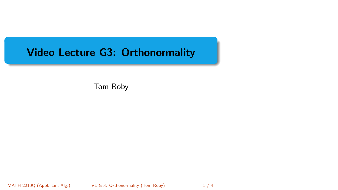# <span id="page-0-0"></span>Video Lecture G3: Orthonormality

Tom Roby

MATH 2210Q (Appl. Lin. Alg.) [VL G-3: Orthonormality](#page-3-0) (Tom Roby) 1/4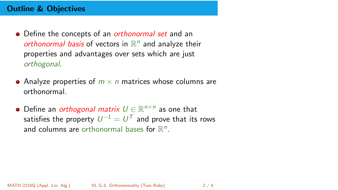# Outline & Objectives

- Define the concepts of an *orthonormal set* and an orthonormal basis of vectors in  $\mathbb{R}^n$  and analyze their properties and advantages over sets which are just orthogonal.
- Analyze properties of  $m \times n$  matrices whose columns are orthonormal.
- Define an *orthogonal matrix*  $U \in \mathbb{R}^{n \times n}$  as one that satisfies the property  $\mathit{U}^{-1} = \mathit{U}^\mathcal{T}$  and prove that its rows and columns are orthonormal bases for  $\mathbb{R}^n$ .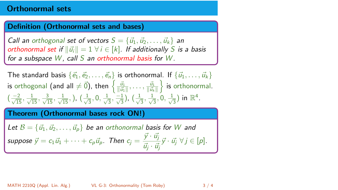## Orthonormal sets

#### Definition (Orthonormal sets and bases)

Call an orthogonal set of vectors  $S = \{\vec{u}_1, \vec{u}_2, \dots, \vec{u}_k\}$  an orthonormal set if  $\|\vec{u_i}\| = 1 \ \forall i \in [k]$ . If additionally S is a basis for a subspace  $W$ , call S an orthonormal basis for  $W$ .

The standard basis 
$$
\{\vec{e_1}, \vec{e_2}, \dots, \vec{e_n}\}
$$
 is orthonormal. If  $\{\vec{u_1}, \dots, \vec{u_k}\}$   
is orthogonal (and all  $\neq \vec{0}$ ), then  $\left\{\frac{\vec{u_1}}{\|\vec{u_1}\|}, \dots, \frac{\vec{u_1}}{\|\vec{u_k}\|}\right\}$  is orthonormal.  
 $\left(\frac{-2}{\sqrt{15}}, \frac{1}{\sqrt{15}}, \frac{3}{\sqrt{15}}, \frac{1}{\sqrt{15}}, \dots, \left(\frac{1}{\sqrt{3}}, 0, \frac{1}{\sqrt{3}}, \frac{-1}{\sqrt{3}}\right), \left(\frac{1}{\sqrt{3}}, \frac{1}{\sqrt{3}}, 0, \frac{1}{\sqrt{3}}\right)$  in  $\mathbb{R}^4$ .

## Theorem (Orthonormal bases rock ON!)

Let  $B = {\vec{u}_1, \vec{u}_2, \dots, \vec{u}_p}$  be an orthonormal basis for W and suppose  $\vec{y} = c_1 \vec{u}_1 + \cdots + c_p \vec{u}_p$ . Then  $c_j = \frac{\vec{y} \cdot \vec{u}_j}{\vec{x} - \vec{u}_j}$  $\frac{\partial^j}{\partial \vec{y}} \cdot \frac{\partial^j}{\partial \vec{y}} \cdot \vec{u}_j \quad \forall j \in [p].$